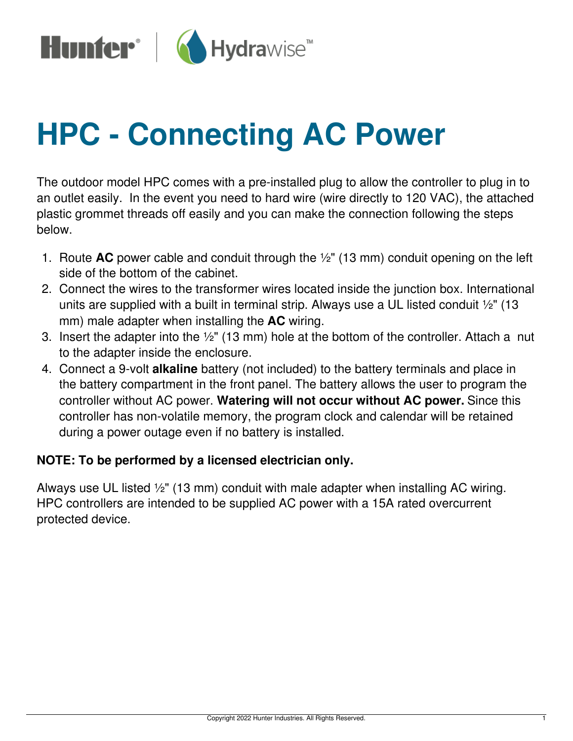

## **HPC - Connecting AC Power**

The outdoor model HPC comes with a pre-installed plug to allow the controller to plug in to an outlet easily. In the event you need to hard wire (wire directly to 120 VAC), the attached plastic grommet threads off easily and you can make the connection following the steps below.

- 1. Route **AC** power cable and conduit through the ½" (13 mm) conduit opening on the left side of the bottom of the cabinet.
- 2. Connect the wires to the transformer wires located inside the junction box. International units are supplied with a built in terminal strip. Always use a UL listed conduit ½" (13 mm) male adapter when installing the **AC** wiring.
- 3. Insert the adapter into the ½" (13 mm) hole at the bottom of the controller. Attach a nut to the adapter inside the enclosure.
- 4. Connect a 9-volt **alkaline** battery (not included) to the battery terminals and place in the battery compartment in the front panel. The battery allows the user to program the controller without AC power. **Watering will not occur without AC power.** Since this controller has non-volatile memory, the program clock and calendar will be retained during a power outage even if no battery is installed.

## **NOTE: To be performed by a licensed electrician only.**

Always use UL listed ½" (13 mm) conduit with male adapter when installing AC wiring. HPC controllers are intended to be supplied AC power with a 15A rated overcurrent protected device.